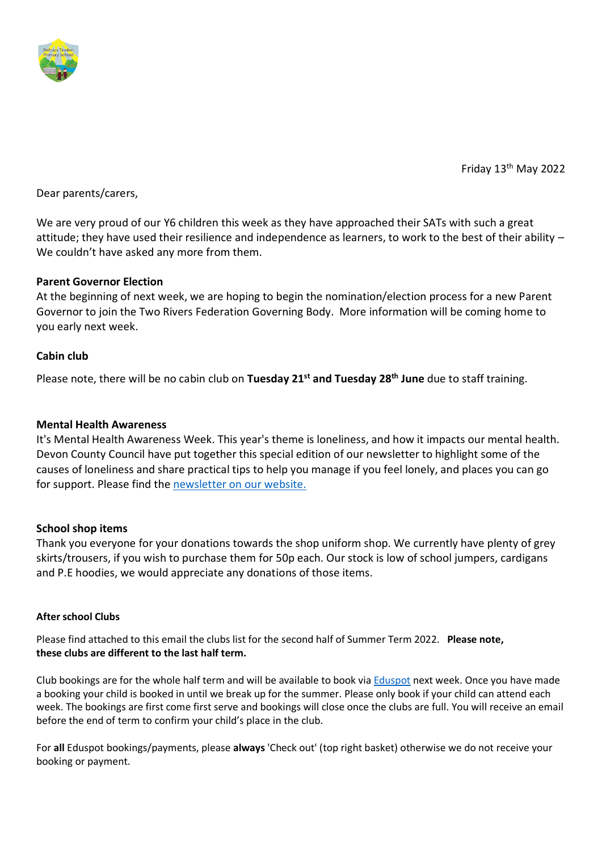

Friday 13th May 2022

Dear parents/carers,

We are very proud of our Y6 children this week as they have approached their SATs with such a great attitude; they have used their resilience and independence as learners, to work to the best of their ability – We couldn't have asked any more from them.

# **Parent Governor Election**

At the beginning of next week, we are hoping to begin the nomination/election process for a new Parent Governor to join the Two Rivers Federation Governing Body. More information will be coming home to you early next week.

# **Cabin club**

Please note, there will be no cabin club on **Tuesday 21st and Tuesday 28th June** due to staff training.

## **Mental Health Awareness**

It's Mental Health Awareness Week. This year's theme is loneliness, and how it impacts our mental health. Devon County Council have put together this special edition of our newsletter to highlight some of the causes of loneliness and share practical tips to help you manage if you feel lonely, and places you can go for support. Please find the [newsletter on our website.](https://bishops-tawton.eschools.co.uk/web/mental_health_awareness_week/607898/cHJldmlld3x8MjAyMi0wNS0xMyAxMDoxNDozNw%3D%3D)

## **School shop items**

Thank you everyone for your donations towards the shop uniform shop. We currently have plenty of grey skirts/trousers, if you wish to purchase them for 50p each. Our stock is low of school jumpers, cardigans and P.E hoodies, we would appreciate any donations of those items.

## **After school Clubs**

Please find attached to this email the clubs list for the second half of Summer Term 2022. **Please note, these clubs are different to the last half term.**

Club bookings are for the whole half term and will be available to book via [Eduspot](https://eduspot.co.uk/) next week. Once you have made a booking your child is booked in until we break up for the summer. Please only book if your child can attend each week. The bookings are first come first serve and bookings will close once the clubs are full. You will receive an email before the end of term to confirm your child's place in the club.

For **all** Eduspot bookings/payments, please **always** 'Check out' (top right basket) otherwise we do not receive your booking or payment.